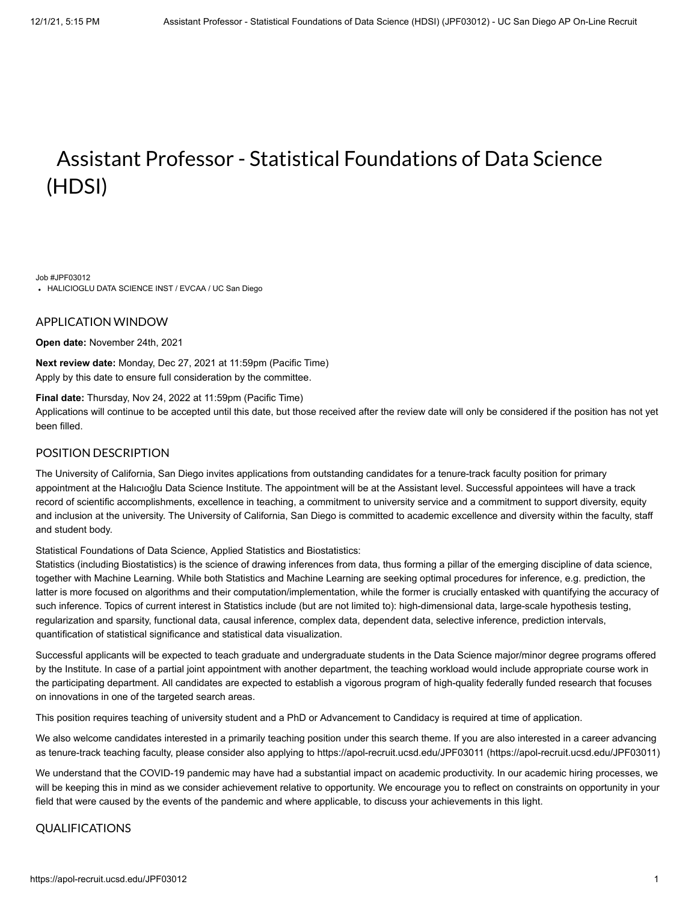# Assistant Professor - Statistical Foundations of Data Science (HDSI)

Job #JPF03012

HALICIOGLU DATA SCIENCE INST / EVCAA / UC San Diego

## APPLICATION WINDOW

**Open date:** November 24th, 2021

**Next review date:** Monday, Dec 27, 2021 at 11:59pm (Pacific Time) Apply by this date to ensure full consideration by the committee.

## **Final date:** Thursday, Nov 24, 2022 at 11:59pm (Pacific Time)

Applications will continue to be accepted until this date, but those received after the review date will only be considered if the position has not yet been filled.

# POSITION DESCRIPTION

The University of California, San Diego invites applications from outstanding candidates for a tenure-track faculty position for primary appointment at the Halıcıoğlu Data Science Institute. The appointment will be at the Assistant level. Successful appointees will have a track record of scientific accomplishments, excellence in teaching, a commitment to university service and a commitment to support diversity, equity and inclusion at the university. The University of California, San Diego is committed to academic excellence and diversity within the faculty, staff and student body.

Statistical Foundations of Data Science, Applied Statistics and Biostatistics:

Statistics (including Biostatistics) is the science of drawing inferences from data, thus forming a pillar of the emerging discipline of data science, together with Machine Learning. While both Statistics and Machine Learning are seeking optimal procedures for inference, e.g. prediction, the latter is more focused on algorithms and their computation/implementation, while the former is crucially entasked with quantifying the accuracy of such inference. Topics of current interest in Statistics include (but are not limited to): high-dimensional data, large-scale hypothesis testing, regularization and sparsity, functional data, causal inference, complex data, dependent data, selective inference, prediction intervals, quantification of statistical significance and statistical data visualization.

Successful applicants will be expected to teach graduate and undergraduate students in the Data Science major/minor degree programs offered by the Institute. In case of a partial joint appointment with another department, the teaching workload would include appropriate course work in the participating department. All candidates are expected to establish a vigorous program of high-quality federally funded research that focuses on innovations in one of the targeted search areas.

This position requires teaching of university student and a PhD or Advancement to Candidacy is required at time of application.

We also welcome candidates interested in a primarily teaching position under this search theme. If you are also interested in a career advancing as tenure-track teaching faculty, please consider also applying to [https://apol-recruit.ucsd.edu/JPF03011 \(https://apol-recruit.ucsd.edu/JPF03011\)](https://apol-recruit.ucsd.edu/JPF03011)

We understand that the COVID-19 pandemic may have had a substantial impact on academic productivity. In our academic hiring processes, we will be keeping this in mind as we consider achievement relative to opportunity. We encourage you to reflect on constraints on opportunity in your field that were caused by the events of the pandemic and where applicable, to discuss your achievements in this light.

## QUALIFICATIONS